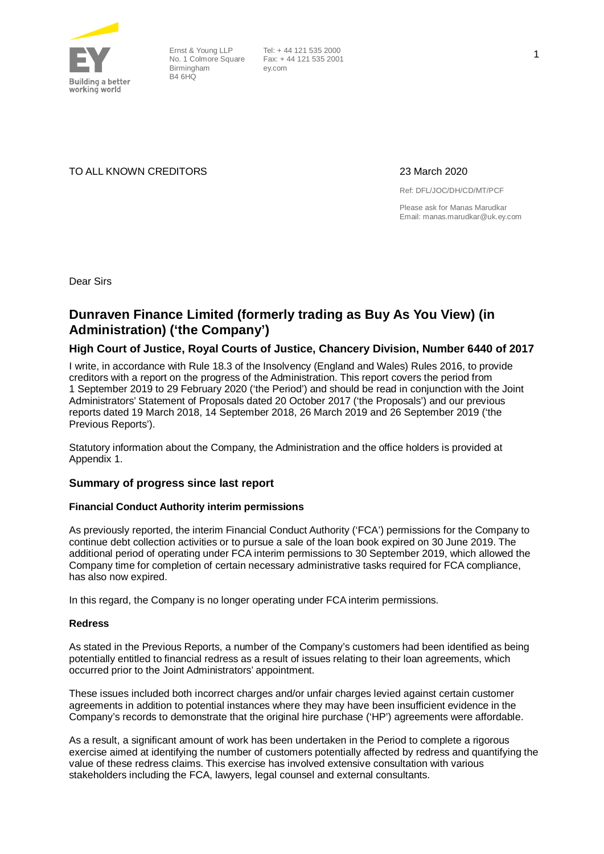

Ernst & Young LLP No. 1 Colmore Square Birmingham **B4 6HO** 

TO ALL KNOWN CREDITORS 23 March 2020

Ref: DFL/JOC/DH/CD/MT/PCF

Please ask for Manas Marudkar Email: manas.marudkar@uk.ey.com

Dear Sirs

### **Dunraven Finance Limited (formerly trading as Buy As You View) (in Administration) ('the Company')**

#### **High Court of Justice, Royal Courts of Justice, Chancery Division, Number 6440 of 2017**

I write, in accordance with Rule 18.3 of the Insolvency (England and Wales) Rules 2016, to provide creditors with a report on the progress of the Administration. This report covers the period from 1 September 2019 to 29 February 2020 ('the Period') and should be read in conjunction with the Joint Administrators' Statement of Proposals dated 20 October 2017 ('the Proposals') and our previous reports dated 19 March 2018, 14 September 2018, 26 March 2019 and 26 September 2019 ('the Previous Reports').

Statutory information about the Company, the Administration and the office holders is provided at Appendix 1.

#### **Summary of progress since last report**

#### **Financial Conduct Authority interim permissions**

As previously reported, the interim Financial Conduct Authority ('FCA') permissions for the Company to continue debt collection activities or to pursue a sale of the loan book expired on 30 June 2019. The additional period of operating under FCA interim permissions to 30 September 2019, which allowed the Company time for completion of certain necessary administrative tasks required for FCA compliance, has also now expired.

In this regard, the Company is no longer operating under FCA interim permissions.

#### **Redress**

As stated in the Previous Reports, a number of the Company's customers had been identified as being potentially entitled to financial redress as a result of issues relating to their loan agreements, which occurred prior to the Joint Administrators' appointment.

These issues included both incorrect charges and/or unfair charges levied against certain customer agreements in addition to potential instances where they may have been insufficient evidence in the Company's records to demonstrate that the original hire purchase ('HP') agreements were affordable.

As a result, a significant amount of work has been undertaken in the Period to complete a rigorous exercise aimed at identifying the number of customers potentially affected by redress and quantifying the value of these redress claims. This exercise has involved extensive consultation with various stakeholders including the FCA, lawyers, legal counsel and external consultants.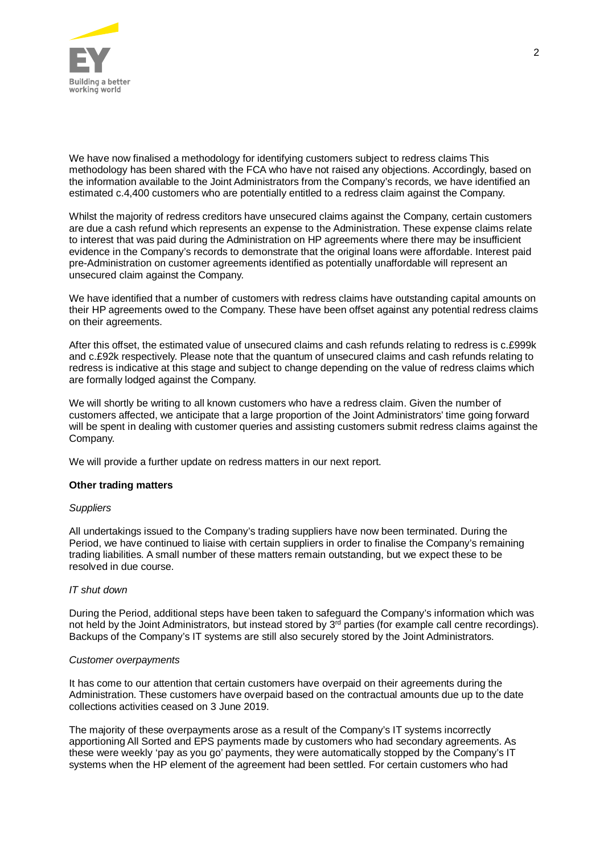

We have now finalised a methodology for identifying customers subject to redress claims This methodology has been shared with the FCA who have not raised any objections. Accordingly, based on the information available to the Joint Administrators from the Company's records, we have identified an estimated c.4,400 customers who are potentially entitled to a redress claim against the Company.

Whilst the majority of redress creditors have unsecured claims against the Company, certain customers are due a cash refund which represents an expense to the Administration. These expense claims relate to interest that was paid during the Administration on HP agreements where there may be insufficient evidence in the Company's records to demonstrate that the original loans were affordable. Interest paid pre-Administration on customer agreements identified as potentially unaffordable will represent an unsecured claim against the Company.

We have identified that a number of customers with redress claims have outstanding capital amounts on their HP agreements owed to the Company. These have been offset against any potential redress claims on their agreements.

After this offset, the estimated value of unsecured claims and cash refunds relating to redress is c.£999k and c.£92k respectively. Please note that the quantum of unsecured claims and cash refunds relating to redress is indicative at this stage and subject to change depending on the value of redress claims which are formally lodged against the Company.

We will shortly be writing to all known customers who have a redress claim. Given the number of customers affected, we anticipate that a large proportion of the Joint Administrators' time going forward will be spent in dealing with customer queries and assisting customers submit redress claims against the Company.

We will provide a further update on redress matters in our next report.

#### **Other trading matters**

#### *Suppliers*

All undertakings issued to the Company's trading suppliers have now been terminated. During the Period, we have continued to liaise with certain suppliers in order to finalise the Company's remaining trading liabilities. A small number of these matters remain outstanding, but we expect these to be resolved in due course.

#### *IT shut down*

During the Period, additional steps have been taken to safeguard the Company's information which was not held by the Joint Administrators, but instead stored by 3<sup>rd</sup> parties (for example call centre recordings). Backups of the Company's IT systems are still also securely stored by the Joint Administrators.

#### *Customer overpayments*

It has come to our attention that certain customers have overpaid on their agreements during the Administration. These customers have overpaid based on the contractual amounts due up to the date collections activities ceased on 3 June 2019.

The majority of these overpayments arose as a result of the Company's IT systems incorrectly apportioning All Sorted and EPS payments made by customers who had secondary agreements. As these were weekly 'pay as you go' payments, they were automatically stopped by the Company's IT systems when the HP element of the agreement had been settled. For certain customers who had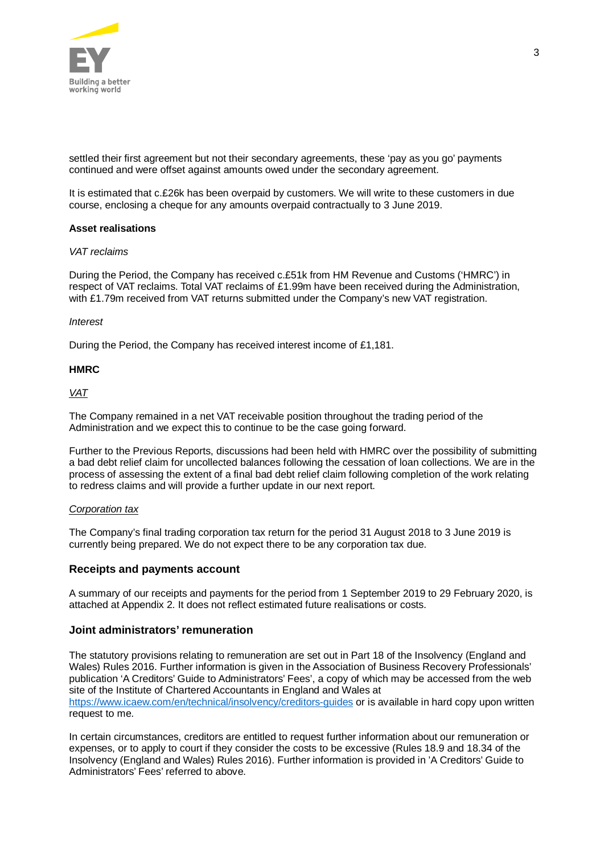

settled their first agreement but not their secondary agreements, these 'pay as you go' payments continued and were offset against amounts owed under the secondary agreement.

It is estimated that c.£26k has been overpaid by customers. We will write to these customers in due course, enclosing a cheque for any amounts overpaid contractually to 3 June 2019.

#### **Asset realisations**

#### *VAT reclaims*

During the Period, the Company has received c.£51k from HM Revenue and Customs ('HMRC') in respect of VAT reclaims. Total VAT reclaims of £1.99m have been received during the Administration, with £1.79m received from VAT returns submitted under the Company's new VAT registration.

#### *Interest*

During the Period, the Company has received interest income of £1,181.

#### **HMRC**

#### *VAT*

The Company remained in a net VAT receivable position throughout the trading period of the Administration and we expect this to continue to be the case going forward.

Further to the Previous Reports, discussions had been held with HMRC over the possibility of submitting a bad debt relief claim for uncollected balances following the cessation of loan collections. We are in the process of assessing the extent of a final bad debt relief claim following completion of the work relating to redress claims and will provide a further update in our next report.

#### *Corporation tax*

The Company's final trading corporation tax return for the period 31 August 2018 to 3 June 2019 is currently being prepared. We do not expect there to be any corporation tax due.

#### **Receipts and payments account**

A summary of our receipts and payments for the period from 1 September 2019 to 29 February 2020, is attached at Appendix 2. It does not reflect estimated future realisations or costs.

#### **Joint administrators' remuneration**

The statutory provisions relating to remuneration are set out in Part 18 of the Insolvency (England and Wales) Rules 2016. Further information is given in the Association of Business Recovery Professionals' publication 'A Creditors' Guide to Administrators' Fees', a copy of which may be accessed from the web site of the Institute of Chartered Accountants in England and Wales at <https://www.icaew.com/en/technical/insolvency/creditors-guides> or is available in hard copy upon written request to me.

In certain circumstances, creditors are entitled to request further information about our remuneration or expenses, or to apply to court if they consider the costs to be excessive (Rules 18.9 and 18.34 of the Insolvency (England and Wales) Rules 2016). Further information is provided in 'A Creditors' Guide to Administrators' Fees' referred to above.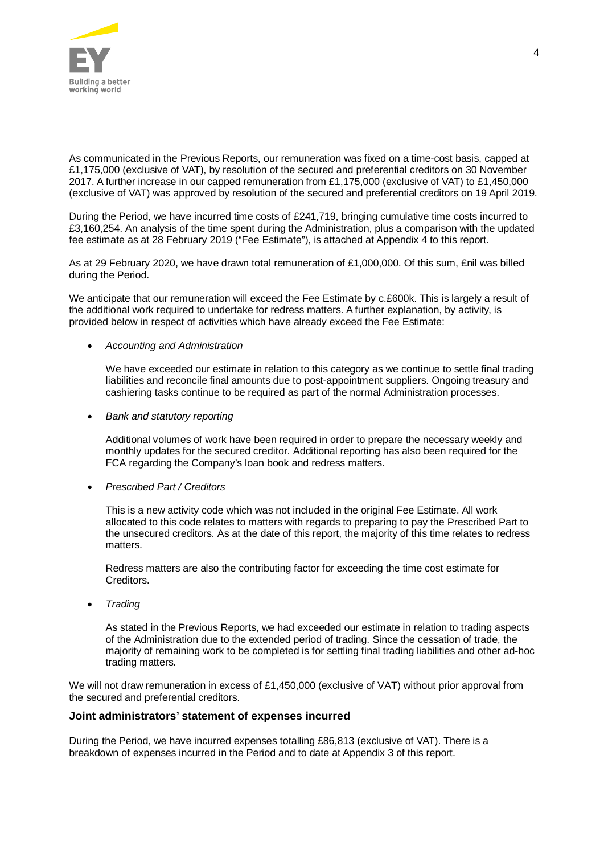

As communicated in the Previous Reports, our remuneration was fixed on a time-cost basis, capped at £1,175,000 (exclusive of VAT), by resolution of the secured and preferential creditors on 30 November 2017. A further increase in our capped remuneration from £1,175,000 (exclusive of VAT) to £1,450,000 (exclusive of VAT) was approved by resolution of the secured and preferential creditors on 19 April 2019.

During the Period, we have incurred time costs of £241,719, bringing cumulative time costs incurred to £3,160,254. An analysis of the time spent during the Administration, plus a comparison with the updated fee estimate as at 28 February 2019 ("Fee Estimate"), is attached at Appendix 4 to this report.

As at 29 February 2020, we have drawn total remuneration of £1,000,000. Of this sum, £nil was billed during the Period.

We anticipate that our remuneration will exceed the Fee Estimate by c.£600k. This is largely a result of the additional work required to undertake for redress matters. A further explanation, by activity, is provided below in respect of activities which have already exceed the Fee Estimate:

#### · *Accounting and Administration*

We have exceeded our estimate in relation to this category as we continue to settle final trading liabilities and reconcile final amounts due to post-appointment suppliers. Ongoing treasury and cashiering tasks continue to be required as part of the normal Administration processes.

· *Bank and statutory reporting*

Additional volumes of work have been required in order to prepare the necessary weekly and monthly updates for the secured creditor. Additional reporting has also been required for the FCA regarding the Company's loan book and redress matters.

· *Prescribed Part / Creditors*

This is a new activity code which was not included in the original Fee Estimate. All work allocated to this code relates to matters with regards to preparing to pay the Prescribed Part to the unsecured creditors. As at the date of this report, the majority of this time relates to redress matters.

Redress matters are also the contributing factor for exceeding the time cost estimate for Creditors.

· *Trading*

As stated in the Previous Reports, we had exceeded our estimate in relation to trading aspects of the Administration due to the extended period of trading. Since the cessation of trade, the majority of remaining work to be completed is for settling final trading liabilities and other ad-hoc trading matters.

We will not draw remuneration in excess of £1,450,000 (exclusive of VAT) without prior approval from the secured and preferential creditors.

### **Joint administrators' statement of expenses incurred**

During the Period, we have incurred expenses totalling £86,813 (exclusive of VAT). There is a breakdown of expenses incurred in the Period and to date at Appendix 3 of this report.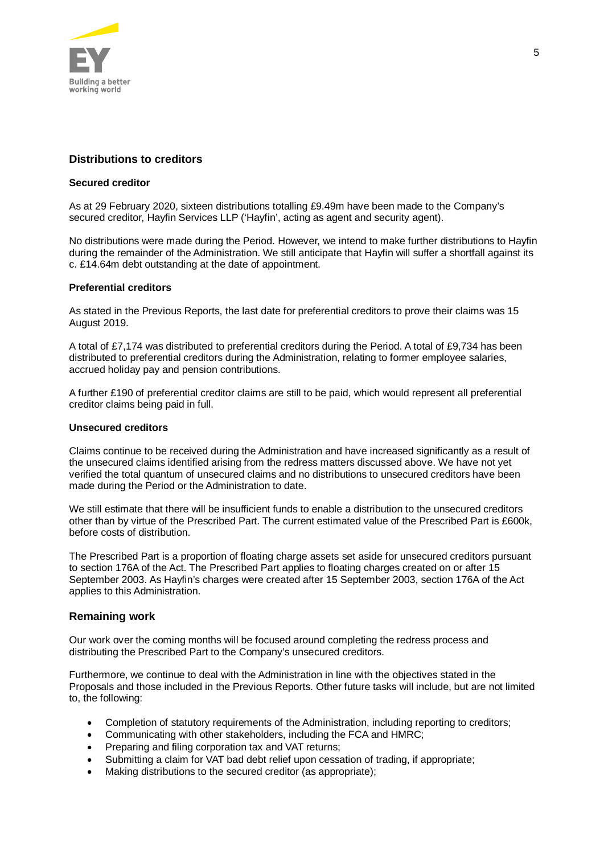

### **Distributions to creditors**

#### **Secured creditor**

As at 29 February 2020, sixteen distributions totalling £9.49m have been made to the Company's secured creditor, Hayfin Services LLP ('Hayfin', acting as agent and security agent).

No distributions were made during the Period. However, we intend to make further distributions to Hayfin during the remainder of the Administration. We still anticipate that Hayfin will suffer a shortfall against its c. £14.64m debt outstanding at the date of appointment.

### **Preferential creditors**

As stated in the Previous Reports, the last date for preferential creditors to prove their claims was 15 August 2019.

A total of £7,174 was distributed to preferential creditors during the Period. A total of £9,734 has been distributed to preferential creditors during the Administration, relating to former employee salaries, accrued holiday pay and pension contributions.

A further £190 of preferential creditor claims are still to be paid, which would represent all preferential creditor claims being paid in full.

#### **Unsecured creditors**

Claims continue to be received during the Administration and have increased significantly as a result of the unsecured claims identified arising from the redress matters discussed above. We have not yet verified the total quantum of unsecured claims and no distributions to unsecured creditors have been made during the Period or the Administration to date.

We still estimate that there will be insufficient funds to enable a distribution to the unsecured creditors other than by virtue of the Prescribed Part. The current estimated value of the Prescribed Part is £600k, before costs of distribution.

The Prescribed Part is a proportion of floating charge assets set aside for unsecured creditors pursuant to section 176A of the Act. The Prescribed Part applies to floating charges created on or after 15 September 2003. As Hayfin's charges were created after 15 September 2003, section 176A of the Act applies to this Administration.

### **Remaining work**

Our work over the coming months will be focused around completing the redress process and distributing the Prescribed Part to the Company's unsecured creditors.

Furthermore, we continue to deal with the Administration in line with the objectives stated in the Proposals and those included in the Previous Reports. Other future tasks will include, but are not limited to, the following:

- · Completion of statutory requirements of the Administration, including reporting to creditors;
- · Communicating with other stakeholders, including the FCA and HMRC;
- Preparing and filing corporation tax and VAT returns;
- Submitting a claim for VAT bad debt relief upon cessation of trading, if appropriate;
- Making distributions to the secured creditor (as appropriate);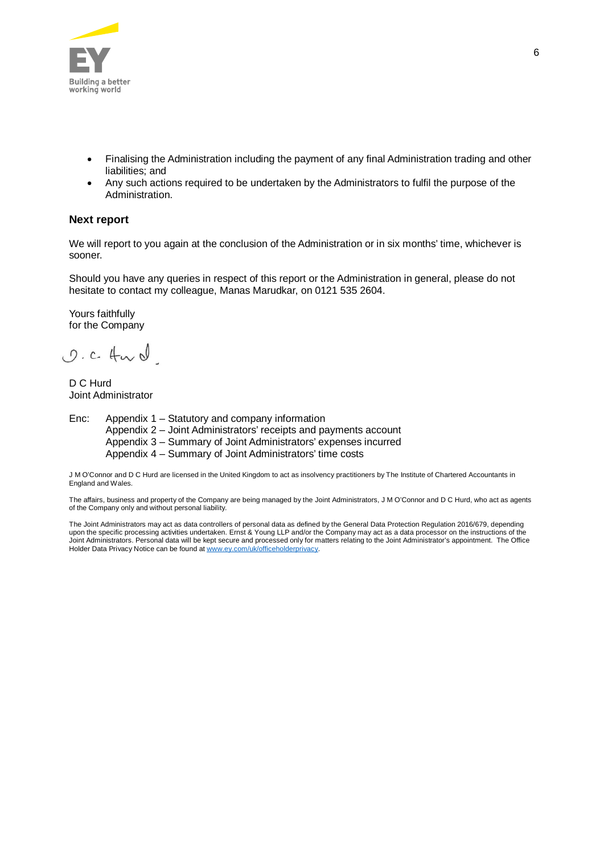

- · Finalising the Administration including the payment of any final Administration trading and other liabilities; and
- Any such actions required to be undertaken by the Administrators to fulfil the purpose of the Administration.

#### **Next report**

We will report to you again at the conclusion of the Administration or in six months' time, whichever is sooner.

Should you have any queries in respect of this report or the Administration in general, please do not hesitate to contact my colleague, Manas Marudkar, on 0121 535 2604.

Yours faithfully for the Company

O.C. Hurd

D C Hurd Joint Administrator

Enc: Appendix 1 – Statutory and company information Appendix 2 – Joint Administrators' receipts and payments account Appendix 3 – Summary of Joint Administrators' expenses incurred Appendix 4 – Summary of Joint Administrators' time costs

J M O'Connor and D C Hurd are licensed in the United Kingdom to act as insolvency practitioners by The Institute of Chartered Accountants in England and Wales.

The affairs, business and property of the Company are being managed by the Joint Administrators, J M O'Connor and D C Hurd, who act as agents of the Company only and without personal liability.

The Joint Administrators may act as data controllers of personal data as defined by the General Data Protection Regulation 2016/679, depending upon the specific processing activities undertaken. Ernst & Young LLP and/or the Company may act as a data processor on the instructions of the Joint Administrators. Personal data will be kept secure and processed only for matters relating to the Joint Administrator's appointment. The Office Holder Data Privacy Notice can be found at [www.ey.com/uk/officeholderprivacy](https://www.ey.com/uk/officeholderprivacy).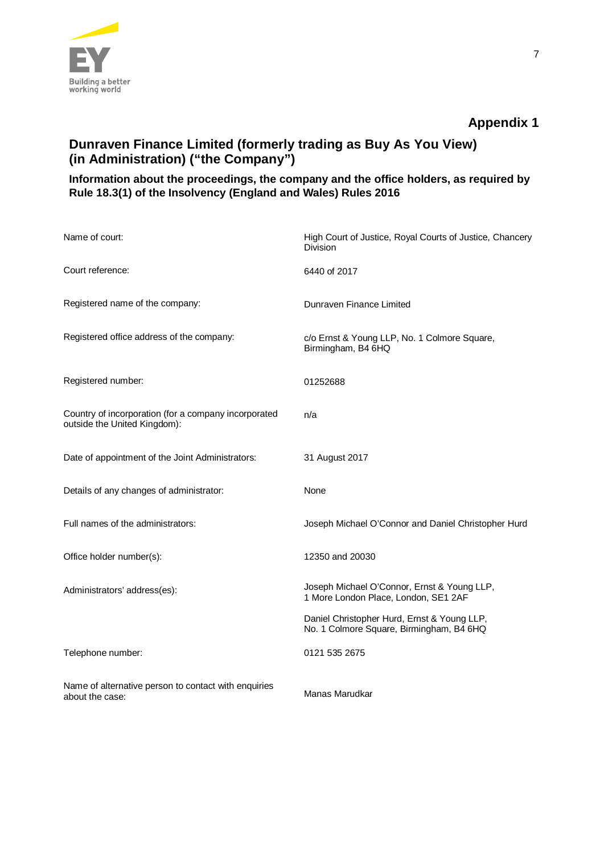

# **Dunraven Finance Limited (formerly trading as Buy As You View) (in Administration) ("the Company")**

### **Information about the proceedings, the company and the office holders, as required by Rule 18.3(1) of the Insolvency (England and Wales) Rules 2016**

| Name of court:                                                                       | High Court of Justice, Royal Courts of Justice, Chancery<br><b>Division</b>             |
|--------------------------------------------------------------------------------------|-----------------------------------------------------------------------------------------|
| Court reference:                                                                     | 6440 of 2017                                                                            |
| Registered name of the company:                                                      | Dunraven Finance Limited                                                                |
| Registered office address of the company:                                            | c/o Ernst & Young LLP, No. 1 Colmore Square,<br>Birmingham, B4 6HQ                      |
| Registered number:                                                                   | 01252688                                                                                |
| Country of incorporation (for a company incorporated<br>outside the United Kingdom): | n/a                                                                                     |
| Date of appointment of the Joint Administrators:                                     | 31 August 2017                                                                          |
| Details of any changes of administrator:                                             | None                                                                                    |
| Full names of the administrators:                                                    | Joseph Michael O'Connor and Daniel Christopher Hurd                                     |
| Office holder number(s):                                                             | 12350 and 20030                                                                         |
| Administrators' address(es):                                                         | Joseph Michael O'Connor, Ernst & Young LLP,<br>1 More London Place, London, SE1 2AF     |
|                                                                                      | Daniel Christopher Hurd, Ernst & Young LLP,<br>No. 1 Colmore Square, Birmingham, B4 6HQ |
| Telephone number:                                                                    | 0121 535 2675                                                                           |
| Name of alternative person to contact with enquiries<br>about the case:              | Manas Marudkar                                                                          |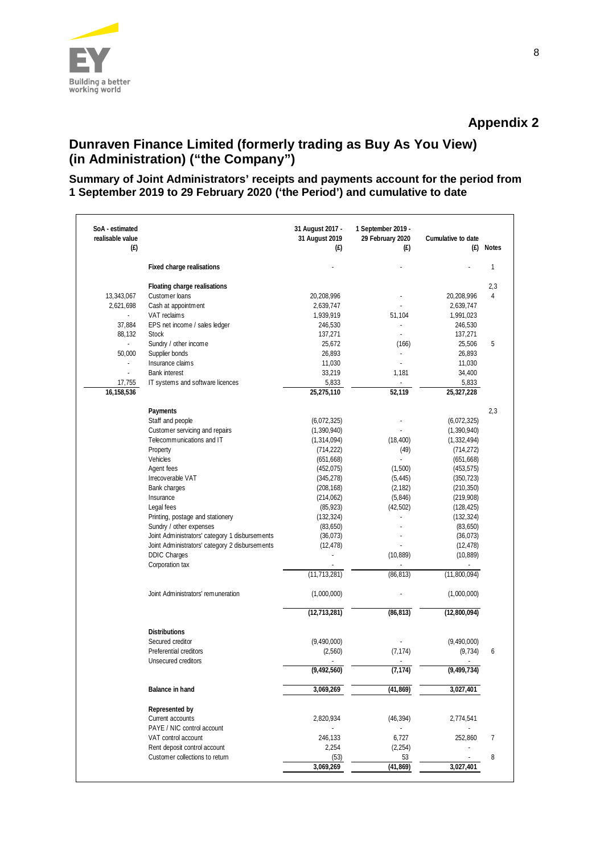

# **Dunraven Finance Limited (formerly trading as Buy As You View) (in Administration) ("the Company")**

### **Summary of Joint Administrators' receipts and payments account for the period from 1 September 2019 to 29 February 2020 ('the Period') and cumulative to date**

| SoA - estimated<br>realisable value<br>(E)                                |                                                                                                                                                                                                                                                                                                                                                                                                                                                      | 31 August 2017 -<br>31 August 2019<br>(E)                                                                                                                                                                                                                     | 1 September 2019 -<br>29 February 2020<br>(E)                                                                            | Cumulative to date<br>(E)                                                                                                                                                                                                                      | <b>Notes</b>          |
|---------------------------------------------------------------------------|------------------------------------------------------------------------------------------------------------------------------------------------------------------------------------------------------------------------------------------------------------------------------------------------------------------------------------------------------------------------------------------------------------------------------------------------------|---------------------------------------------------------------------------------------------------------------------------------------------------------------------------------------------------------------------------------------------------------------|--------------------------------------------------------------------------------------------------------------------------|------------------------------------------------------------------------------------------------------------------------------------------------------------------------------------------------------------------------------------------------|-----------------------|
|                                                                           | Fixed charge realisations                                                                                                                                                                                                                                                                                                                                                                                                                            |                                                                                                                                                                                                                                                               |                                                                                                                          |                                                                                                                                                                                                                                                | $\mathbf{1}$          |
| 13,343,067<br>2,621,698<br>$\sim$                                         | Floating charge realisations<br>Customer loans<br>Cash at appointment<br>VAT reclaims                                                                                                                                                                                                                                                                                                                                                                | 20,208,996<br>2,639,747<br>1,939,919                                                                                                                                                                                                                          | 51,104                                                                                                                   | 20,208,996<br>2,639,747<br>1,991,023                                                                                                                                                                                                           | 2,3<br>$\overline{4}$ |
| 37,884<br>88,132                                                          | EPS net income / sales ledger<br><b>Stock</b>                                                                                                                                                                                                                                                                                                                                                                                                        | 246,530<br>137,271                                                                                                                                                                                                                                            | ÷,<br>L.                                                                                                                 | 246,530<br>137,271                                                                                                                                                                                                                             |                       |
| $\sim$<br>50,000<br>$\overline{\phantom{a}}$<br>÷<br>17,755<br>16,158,536 | Sundry / other income<br>Supplier bonds<br>Insurance claims<br><b>Bank interest</b><br>IT systems and software licences                                                                                                                                                                                                                                                                                                                              | 25,672<br>26,893<br>11,030<br>33,219<br>5,833<br>25,275,110                                                                                                                                                                                                   | (166)<br>L.<br>1,181<br>52,119                                                                                           | 25,506<br>26,893<br>11,030<br>34,400<br>5,833<br>25,327,228                                                                                                                                                                                    | 5                     |
|                                                                           | Payments<br>Staff and people<br>Customer servicing and repairs<br>Telecommunications and IT<br>Property<br>Vehicles<br>Agent fees<br>Irrecoverable VAT<br>Bank charges<br>Insurance<br>Legal fees<br>Printing, postage and stationery<br>Sundry / other expenses<br>Joint Administrators' category 1 disbursements<br>Joint Administrators' category 2 disbursements<br><b>DDIC Charges</b><br>Corporation tax<br>Joint Administrators' remuneration | (6,072,325)<br>(1,390,940)<br>(1, 314, 094)<br>(714, 222)<br>(651, 668)<br>(452, 075)<br>(345, 278)<br>(208, 168)<br>(214, 062)<br>(85, 923)<br>(132, 324)<br>(83,650)<br>(36, 073)<br>(12, 478)<br>$\overline{\phantom{a}}$<br>(11, 713, 281)<br>(1,000,000) | (18, 400)<br>(49)<br>L.<br>(1,500)<br>(5, 445)<br>(2, 182)<br>(5, 846)<br>(42, 502)<br>÷<br>÷.<br>(10, 889)<br>(86, 813) | (6,072,325)<br>(1, 390, 940)<br>(1, 332, 494)<br>(714, 272)<br>(651, 668)<br>(453, 575)<br>(350, 723)<br>(210, 350)<br>(219,908)<br>(128, 425)<br>(132, 324)<br>(83,650)<br>(36, 073)<br>(12, 478)<br>(10, 889)<br>(11,800,094)<br>(1,000,000) | 2,3                   |
|                                                                           | <b>Distributions</b><br>Secured creditor<br>Preferential creditors<br>Unsecured creditors                                                                                                                                                                                                                                                                                                                                                            | (12, 713, 281)<br>(9,490,000)<br>(2,560)<br>(9, 492, 560)                                                                                                                                                                                                     | (86, 813)<br>(7, 174)<br>(7, 174)                                                                                        | (12,800,094)<br>(9,490,000)<br>(9, 734)<br>(9, 499, 734)                                                                                                                                                                                       | 6                     |
|                                                                           | Balance in hand                                                                                                                                                                                                                                                                                                                                                                                                                                      | 3,069,269                                                                                                                                                                                                                                                     | (41, 869)                                                                                                                | 3,027,401                                                                                                                                                                                                                                      |                       |
|                                                                           | Represented by<br>Current accounts<br>PAYE / NIC control account                                                                                                                                                                                                                                                                                                                                                                                     | 2,820,934                                                                                                                                                                                                                                                     | (46, 394)                                                                                                                | 2,774,541                                                                                                                                                                                                                                      |                       |
|                                                                           | VAT control account<br>Rent deposit control account<br>Customer collections to return                                                                                                                                                                                                                                                                                                                                                                | 246,133<br>2,254<br>(53)<br>3,069,269                                                                                                                                                                                                                         | 6,727<br>(2, 254)<br>53<br>(41, 869)                                                                                     | 252,860<br>3,027,401                                                                                                                                                                                                                           | 7<br>8                |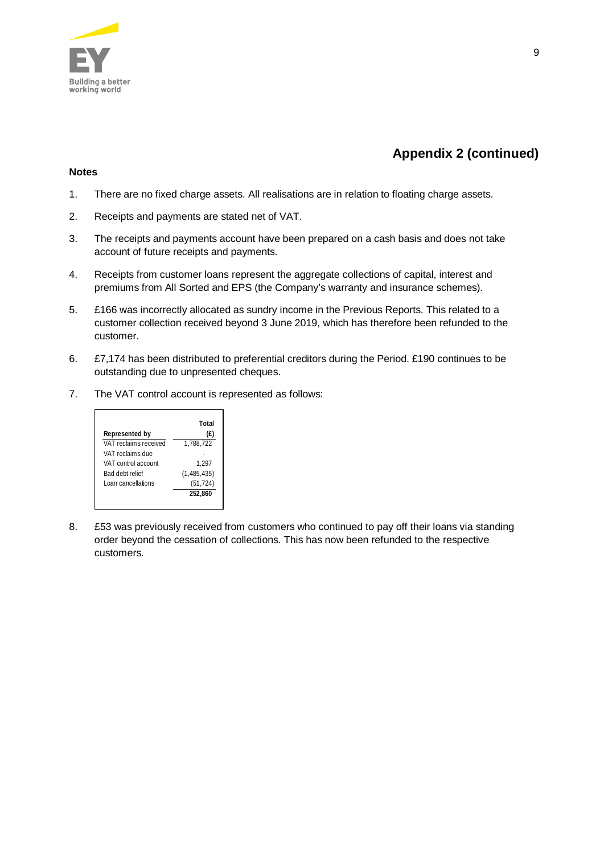

# **Appendix 2 (continued)**

#### **Notes**

- 1. There are no fixed charge assets. All realisations are in relation to floating charge assets.
- 2. Receipts and payments are stated net of VAT.
- 3. The receipts and payments account have been prepared on a cash basis and does not take account of future receipts and payments.
- 4. Receipts from customer loans represent the aggregate collections of capital, interest and premiums from All Sorted and EPS (the Company's warranty and insurance schemes).
- 5. £166 was incorrectly allocated as sundry income in the Previous Reports. This related to a customer collection received beyond 3 June 2019, which has therefore been refunded to the customer.
- 6. £7,174 has been distributed to preferential creditors during the Period. £190 continues to be outstanding due to unpresented cheques.
- 7. The VAT control account is represented as follows:



8. £53 was previously received from customers who continued to pay off their loans via standing order beyond the cessation of collections. This has now been refunded to the respective customers.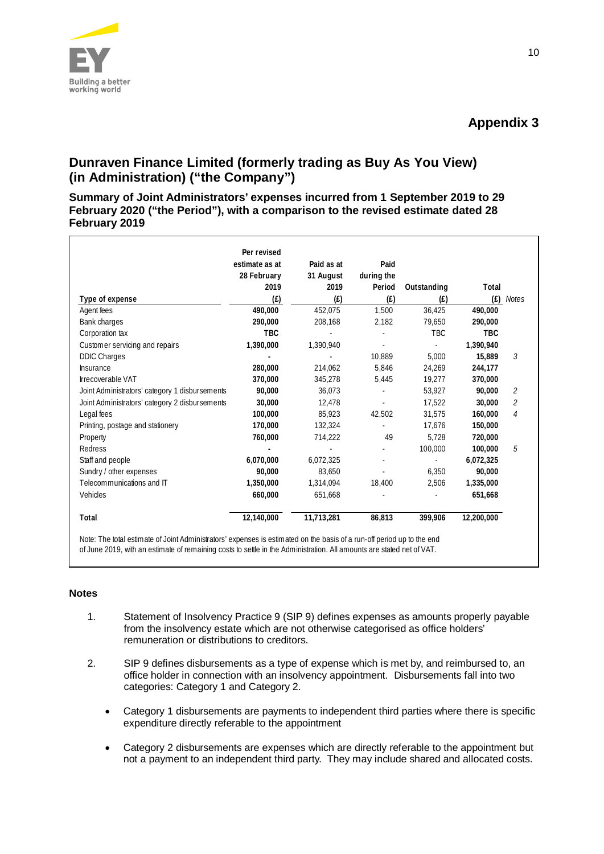

# **Dunraven Finance Limited (formerly trading as Buy As You View) (in Administration) ("the Company")**

**Summary of Joint Administrators' expenses incurred from 1 September 2019 to 29 February 2020 ("the Period"), with a comparison to the revised estimate dated 28 February 2019**

|                                                | Per revised    |            |                |                          |            |              |
|------------------------------------------------|----------------|------------|----------------|--------------------------|------------|--------------|
|                                                | estimate as at | Paid as at | Paid           |                          |            |              |
|                                                | 28 February    | 31 August  | during the     |                          |            |              |
|                                                | 2019           | 2019       | Period         | Outstanding              | Total      |              |
| Type of expense                                | (E)            | (E)        | (E)            | (E)                      | (E)        | <b>Notes</b> |
| Agent fees                                     | 490,000        | 452,075    | 1,500          | 36.425                   | 490,000    |              |
| Bank charges                                   | 290,000        | 208,168    | 2,182          | 79,650                   | 290,000    |              |
| Corporation tax                                | <b>TBC</b>     |            |                | <b>TBC</b>               | <b>TBC</b> |              |
| Customer servicing and repairs                 | 1,390,000      | 1,390,940  | $\overline{a}$ | $\overline{\phantom{a}}$ | 1.390.940  |              |
| <b>DDIC Charges</b>                            |                |            | 10,889         | 5,000                    | 15,889     | 3            |
| Insurance                                      | 280,000        | 214,062    | 5,846          | 24,269                   | 244,177    |              |
| <b>Irrecoverable VAT</b>                       | 370,000        | 345,278    | 5,445          | 19,277                   | 370,000    |              |
| Joint Administrators' category 1 disbursements | 90,000         | 36,073     |                | 53,927                   | 90,000     | 2            |
| Joint Administrators' category 2 disbursements | 30,000         | 12,478     |                | 17.522                   | 30,000     | 2            |
| Legal fees                                     | 100,000        | 85,923     | 42,502         | 31,575                   | 160,000    | 4            |
| Printing, postage and stationery               | 170,000        | 132,324    |                | 17,676                   | 150,000    |              |
| Property                                       | 760,000        | 714,222    | 49             | 5.728                    | 720,000    |              |
| Redress                                        |                |            |                | 100,000                  | 100,000    | 5            |
| Staff and people                               | 6,070,000      | 6,072,325  |                |                          | 6,072,325  |              |
| Sundry / other expenses                        | 90,000         | 83,650     |                | 6,350                    | 90,000     |              |
| Telecommunications and IT                      | 1.350.000      | 1,314,094  | 18,400         | 2.506                    | 1,335,000  |              |
| Vehicles                                       | 660,000        | 651,668    |                |                          | 651,668    |              |
| Total                                          | 12,140,000     | 11,713,281 | 86,813         | 399,906                  | 12,200,000 |              |

#### **Notes**

- 1. Statement of Insolvency Practice 9 (SIP 9) defines expenses as amounts properly payable from the insolvency estate which are not otherwise categorised as office holders' remuneration or distributions to creditors.
- 2. SIP 9 defines disbursements as a type of expense which is met by, and reimbursed to, an office holder in connection with an insolvency appointment. Disbursements fall into two categories: Category 1 and Category 2.
	- Category 1 disbursements are payments to independent third parties where there is specific expenditure directly referable to the appointment
	- Category 2 disbursements are expenses which are directly referable to the appointment but not a payment to an independent third party. They may include shared and allocated costs.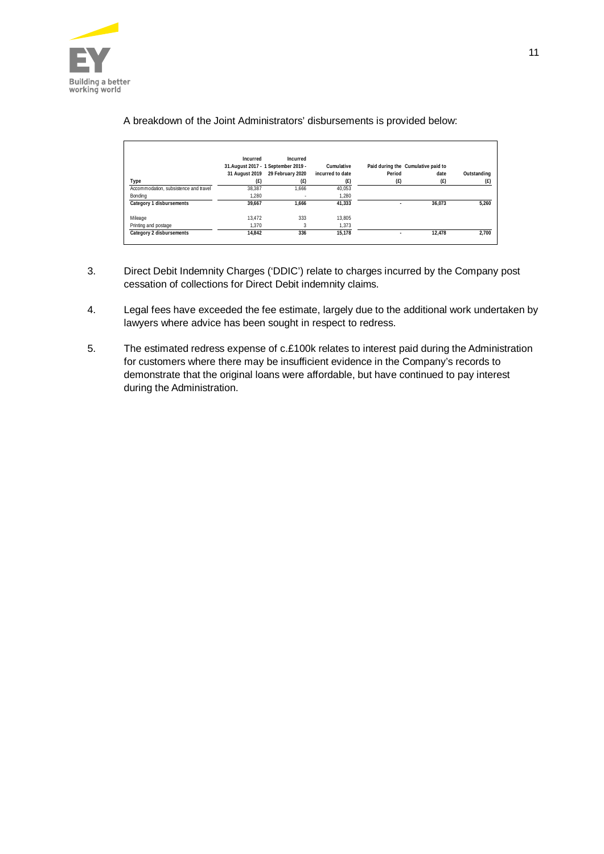

|                                       | Incurred       | Incurred<br>31. August 2017 - 1 September 2019 - | Cumulative       | Paid during the Cumulative paid to |        |             |
|---------------------------------------|----------------|--------------------------------------------------|------------------|------------------------------------|--------|-------------|
|                                       | 31 August 2019 | 29 February 2020                                 | incurred to date | Period                             | date   | Outstanding |
| Type                                  | (E)            | (f)                                              | (E)              | (E)                                | (E)    | (E)         |
| Accommodation, subsistence and travel | 38.387         | 1.666                                            | 40.053           |                                    |        |             |
| Bondina                               | 1.280          |                                                  | 1,280            |                                    |        |             |
| Category 1 disbursements              | 39.667         | 1.666                                            | 41.333           |                                    | 36.073 | 5.260       |
| Mileage                               | 13.472         | 333                                              | 13.805           |                                    |        |             |
| Printing and postage                  | 1.370          |                                                  | 1,373            |                                    |        |             |
| Category 2 disbursements              | 14.842         | 336                                              | 15.178           |                                    | 12.478 | 2.700       |

### A breakdown of the Joint Administrators' disbursements is provided below:

- 3. Direct Debit Indemnity Charges ('DDIC') relate to charges incurred by the Company post cessation of collections for Direct Debit indemnity claims.
- 4. Legal fees have exceeded the fee estimate, largely due to the additional work undertaken by lawyers where advice has been sought in respect to redress.
- 5. The estimated redress expense of c.£100k relates to interest paid during the Administration for customers where there may be insufficient evidence in the Company's records to demonstrate that the original loans were affordable, but have continued to pay interest during the Administration.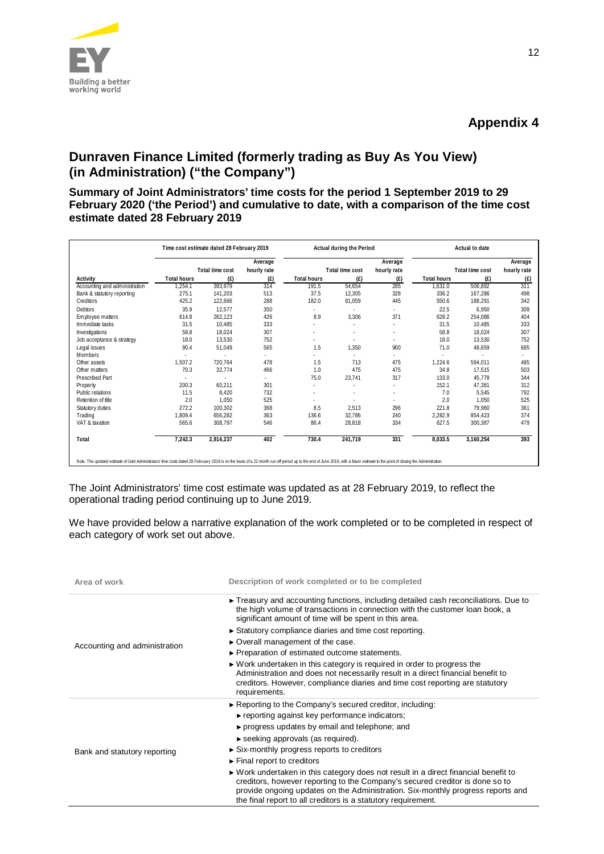

# **Dunraven Finance Limited (formerly trading as Buy As You View) (in Administration) ("the Company")**

**Summary of Joint Administrators' time costs for the period 1 September 2019 to 29 February 2020 ('the Period') and cumulative to date, with a comparison of the time cost estimate dated 28 February 2019**

|                               | Time cost estimate dated 28 February 2019 |                 |             | Actual during the Period |                 |             | Actual to date     |                 |             |
|-------------------------------|-------------------------------------------|-----------------|-------------|--------------------------|-----------------|-------------|--------------------|-----------------|-------------|
|                               |                                           |                 | Average     |                          |                 | Average     |                    |                 | Average     |
|                               |                                           | Total time cost | hourly rate |                          | Total time cost | hourly rate |                    | Total time cost | hourly rate |
| Activity                      | <b>Total hours</b>                        | (E)             | (E)         | <b>Total hours</b>       | (E)             | (E)         | <b>Total hours</b> | (E)             | (E)         |
| Accounting and administration | 1,254.1                                   | 393,979         | 314         | 191.5                    | 54,654          | 285         | 1,631.0            | 506,892         | 311         |
| Bank & statutory reporting    | 275.1                                     | 141.203         | 513         | 37.5                     | 12,305          | 328         | 336.2              | 167.286         | 498         |
| Creditors                     | 425.2                                     | 122,666         | 288         | 182.0                    | 81,059          | 445         | 550.6              | 188,291         | 342         |
| <b>Debtors</b>                | 35.9                                      | 12.577          | 350         |                          |                 | ٠           | 22.5               | 6.950           | 309         |
| Employee matters              | 614.8                                     | 262,123         | 426         | 8.9                      | 3,306           | 371         | 628.2              | 254,086         | 404         |
| Immediate tasks               | 31.5                                      | 10.485          | 333         |                          |                 |             | 31.5               | 10.485          | 333         |
| Investigations                | 58.8                                      | 18,024          | 307         |                          |                 |             | 58.8               | 18.024          | 307         |
| Job acceptance & strategy     | 18.0                                      | 13,530          | 752         |                          |                 | ٠           | 18.0               | 13.530          | 752         |
| Legal issues                  | 90.4                                      | 51,049          | 565         | 1.5                      | 1,350           | 900         | 71.0               | 48,659          | 685         |
| Members                       |                                           |                 |             |                          |                 | ٠           |                    |                 |             |
| Other assets                  | 1,507.2                                   | 720,764         | 478         | 1.5                      | 713             | 475         | 1,224.6            | 594.011         | 485         |
| Other matters                 | 70.3                                      | 32,774          | 466         | 1.0                      | 475             | 475         | 34.8               | 17.515          | 503         |
| Prescribed Part               |                                           |                 | ٠           | 75.0                     | 23,741          | 317         | 133.0              | 45.778          | 344         |
| Property                      | 200.3                                     | 60.211          | 301         | ×                        | ٠               | ٠           | 152.1              | 47.381          | 312         |
| Public relations              | 11.5                                      | 8,420           | 732         |                          |                 |             | 7.0                | 5,545           | 792         |
| Retention of title            | 2.0                                       | 1.050           | 525         |                          |                 | ٠           | 2.0                | 1.050           | 525         |
| Statutory duties              | 272.2                                     | 100.302         | 368         | 8.5                      | 2,513           | 296         | 221.8              | 79.960          | 361         |
| Trading                       | 1.809.4                                   | 656,282         | 363         | 136.6                    | 32.786          | 240         | 2.282.9            | 854.423         | 374         |
| VAT & taxation                | 565.6                                     | 308,797         | 546         | 86.4                     | 28,818          | 334         | 627.5              | 300,387         | 479         |
| Total                         | 7,242.3                                   | 2,914,237       | 402         | 730.4                    | 241,719         | 331         | 8,033.5            | 3,160,254       | 393         |

The Joint Administrators' time cost estimate was updated as at 28 February 2019, to reflect the operational trading period continuing up to June 2019.

We have provided below a narrative explanation of the work completed or to be completed in respect of each category of work set out above.

| Area of work                  | Description of work completed or to be completed                                                                                                                                                                                                                                                                        |
|-------------------------------|-------------------------------------------------------------------------------------------------------------------------------------------------------------------------------------------------------------------------------------------------------------------------------------------------------------------------|
|                               | $\triangleright$ Treasury and accounting functions, including detailed cash reconciliations. Due to<br>the high volume of transactions in connection with the customer loan book, a<br>significant amount of time will be spent in this area.                                                                           |
|                               | Statutory compliance diaries and time cost reporting.                                                                                                                                                                                                                                                                   |
| Accounting and administration | ► Overall management of the case.                                                                                                                                                                                                                                                                                       |
|                               | ► Preparation of estimated outcome statements.                                                                                                                                                                                                                                                                          |
|                               | $\triangleright$ Work undertaken in this category is required in order to progress the<br>Administration and does not necessarily result in a direct financial benefit to<br>creditors. However, compliance diaries and time cost reporting are statutory<br>requirements.                                              |
|                               | $\triangleright$ Reporting to the Company's secured creditor, including:                                                                                                                                                                                                                                                |
|                               | $\triangleright$ reporting against key performance indicators;                                                                                                                                                                                                                                                          |
|                               | ► progress updates by email and telephone; and                                                                                                                                                                                                                                                                          |
|                               | $\triangleright$ seeking approvals (as required).                                                                                                                                                                                                                                                                       |
| Bank and statutory reporting  | $\triangleright$ Six-monthly progress reports to creditors                                                                                                                                                                                                                                                              |
|                               | $\blacktriangleright$ Final report to creditors                                                                                                                                                                                                                                                                         |
|                               | ► Work undertaken in this category does not result in a direct financial benefit to<br>creditors, however reporting to the Company's secured creditor is done so to<br>provide ongoing updates on the Administration. Six-monthly progress reports and<br>the final report to all creditors is a statutory requirement. |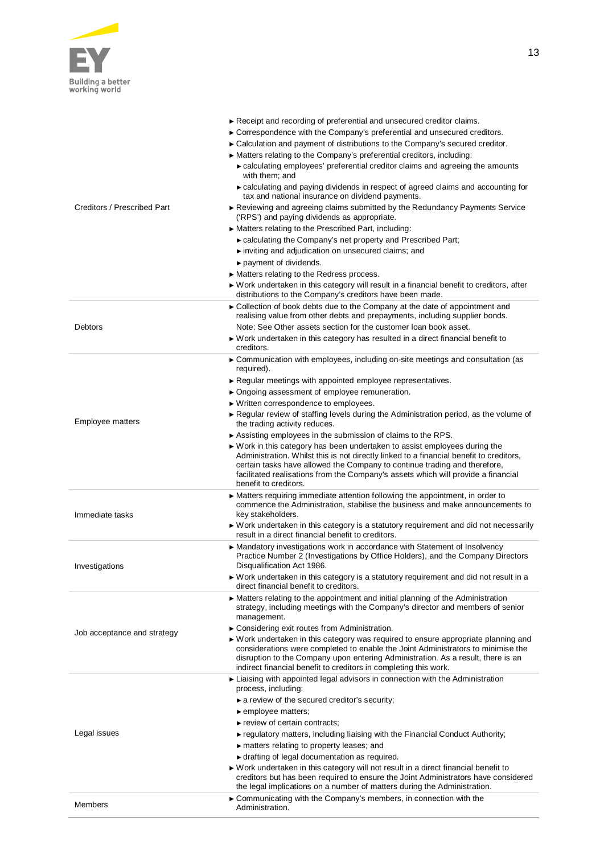

| Creditors / Prescribed Part | Receipt and recording of preferential and unsecured creditor claims.<br>► Correspondence with the Company's preferential and unsecured creditors.<br>► Calculation and payment of distributions to the Company's secured creditor.<br>► Matters relating to the Company's preferential creditors, including:<br>► calculating employees' preferential creditor claims and agreeing the amounts<br>with them; and<br>• calculating and paying dividends in respect of agreed claims and accounting for<br>tax and national insurance on dividend payments.<br>► Reviewing and agreeing claims submitted by the Redundancy Payments Service<br>('RPS') and paying dividends as appropriate.<br>▶ Matters relating to the Prescribed Part, including:<br>► calculating the Company's net property and Prescribed Part;<br>inviting and adjudication on unsecured claims; and<br>$\triangleright$ payment of dividends.<br>► Matters relating to the Redress process.<br>► Work undertaken in this category will result in a financial benefit to creditors, after<br>distributions to the Company's creditors have been made. |
|-----------------------------|----------------------------------------------------------------------------------------------------------------------------------------------------------------------------------------------------------------------------------------------------------------------------------------------------------------------------------------------------------------------------------------------------------------------------------------------------------------------------------------------------------------------------------------------------------------------------------------------------------------------------------------------------------------------------------------------------------------------------------------------------------------------------------------------------------------------------------------------------------------------------------------------------------------------------------------------------------------------------------------------------------------------------------------------------------------------------------------------------------------------------|
| Debtors                     | ► Collection of book debts due to the Company at the date of appointment and<br>realising value from other debts and prepayments, including supplier bonds.<br>Note: See Other assets section for the customer loan book asset.<br>► Work undertaken in this category has resulted in a direct financial benefit to<br>creditors.                                                                                                                                                                                                                                                                                                                                                                                                                                                                                                                                                                                                                                                                                                                                                                                          |
| Employee matters            | ► Communication with employees, including on-site meetings and consultation (as<br>required).<br>Regular meetings with appointed employee representatives.<br>▶ Ongoing assessment of employee remuneration.<br>▶ Written correspondence to employees.<br>► Regular review of staffing levels during the Administration period, as the volume of<br>the trading activity reduces.<br>$\triangleright$ Assisting employees in the submission of claims to the RPS.<br>► Work in this category has been undertaken to assist employees during the<br>Administration. Whilst this is not directly linked to a financial benefit to creditors,<br>certain tasks have allowed the Company to continue trading and therefore,<br>facilitated realisations from the Company's assets which will provide a financial<br>benefit to creditors.                                                                                                                                                                                                                                                                                      |
| Immediate tasks             | $\triangleright$ Matters requiring immediate attention following the appointment, in order to<br>commence the Administration, stabilise the business and make announcements to<br>key stakeholders.<br>► Work undertaken in this category is a statutory requirement and did not necessarily<br>result in a direct financial benefit to creditors.                                                                                                                                                                                                                                                                                                                                                                                                                                                                                                                                                                                                                                                                                                                                                                         |
| Investigations              | ► Mandatory investigations work in accordance with Statement of Insolvency<br>Practice Number 2 (Investigations by Office Holders), and the Company Directors<br>Disqualification Act 1986.<br>▶ Work undertaken in this category is a statutory requirement and did not result in a<br>direct financial benefit to creditors.                                                                                                                                                                                                                                                                                                                                                                                                                                                                                                                                                                                                                                                                                                                                                                                             |
| Job acceptance and strategy | • Matters relating to the appointment and initial planning of the Administration<br>strategy, including meetings with the Company's director and members of senior<br>management.<br>► Considering exit routes from Administration.<br>$\triangleright$ Work undertaken in this category was required to ensure appropriate planning and<br>considerations were completed to enable the Joint Administrators to minimise the<br>disruption to the Company upon entering Administration. As a result, there is an<br>indirect financial benefit to creditors in completing this work.                                                                                                                                                                                                                                                                                                                                                                                                                                                                                                                                       |
| Legal issues                | ► Liaising with appointed legal advisors in connection with the Administration<br>process, including:<br>$\triangleright$ a review of the secured creditor's security;<br>$\blacktriangleright$ employee matters;<br>$\blacktriangleright$ review of certain contracts;<br>► regulatory matters, including liaising with the Financial Conduct Authority;<br>$\triangleright$ matters relating to property leases; and<br>If drafting of legal documentation as required.<br>► Work undertaken in this category will not result in a direct financial benefit to<br>creditors but has been required to ensure the Joint Administrators have considered<br>the legal implications on a number of matters during the Administration.<br>► Communicating with the Company's members, in connection with the                                                                                                                                                                                                                                                                                                                   |
| Members                     | Administration.                                                                                                                                                                                                                                                                                                                                                                                                                                                                                                                                                                                                                                                                                                                                                                                                                                                                                                                                                                                                                                                                                                            |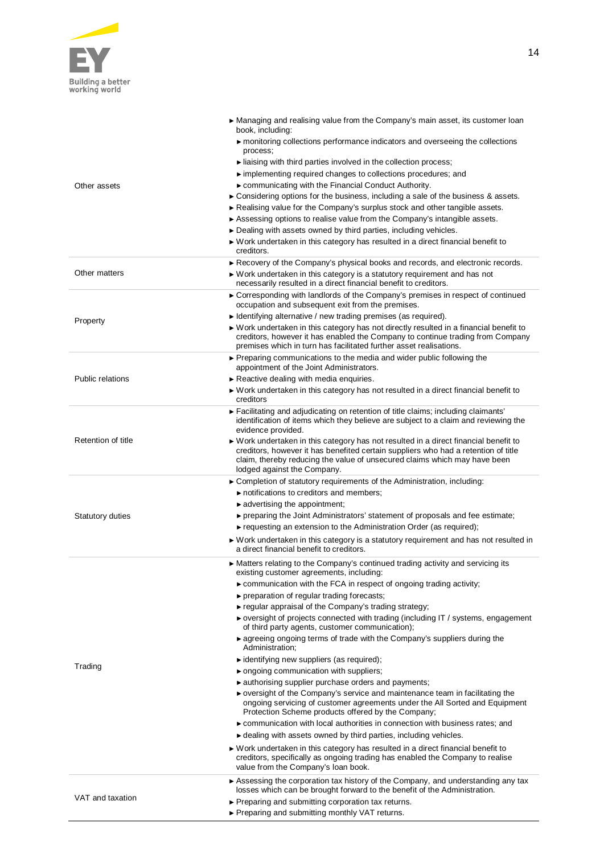

| Other assets            | ► Managing and realising value from the Company's main asset, its customer loan<br>book, including:<br>monitoring collections performance indicators and overseeing the collections<br>process;<br>liaising with third parties involved in the collection process;<br>implementing required changes to collections procedures; and<br>► communicating with the Financial Conduct Authority.<br>$\triangleright$ Considering options for the business, including a sale of the business & assets.<br>Realising value for the Company's surplus stock and other tangible assets.<br>$\triangleright$ Assessing options to realise value from the Company's intangible assets.<br>► Dealing with assets owned by third parties, including vehicles.<br>► Work undertaken in this category has resulted in a direct financial benefit to<br>creditors.                                                                                                                                                                                                                                                                                                                                                                                                                                                                                                                                                             |
|-------------------------|----------------------------------------------------------------------------------------------------------------------------------------------------------------------------------------------------------------------------------------------------------------------------------------------------------------------------------------------------------------------------------------------------------------------------------------------------------------------------------------------------------------------------------------------------------------------------------------------------------------------------------------------------------------------------------------------------------------------------------------------------------------------------------------------------------------------------------------------------------------------------------------------------------------------------------------------------------------------------------------------------------------------------------------------------------------------------------------------------------------------------------------------------------------------------------------------------------------------------------------------------------------------------------------------------------------------------------------------------------------------------------------------------------------|
| Other matters           | Recovery of the Company's physical books and records, and electronic records.<br>► Work undertaken in this category is a statutory requirement and has not<br>necessarily resulted in a direct financial benefit to creditors.                                                                                                                                                                                                                                                                                                                                                                                                                                                                                                                                                                                                                                                                                                                                                                                                                                                                                                                                                                                                                                                                                                                                                                                 |
| Property                | ► Corresponding with landlords of the Company's premises in respect of continued<br>occupation and subsequent exit from the premises.<br>$\blacktriangleright$ Identifying alternative / new trading premises (as required).<br>▶ Work undertaken in this category has not directly resulted in a financial benefit to<br>creditors, however it has enabled the Company to continue trading from Company<br>premises which in turn has facilitated further asset realisations.                                                                                                                                                                                                                                                                                                                                                                                                                                                                                                                                                                                                                                                                                                                                                                                                                                                                                                                                 |
| <b>Public relations</b> | ► Preparing communications to the media and wider public following the<br>appointment of the Joint Administrators.<br>Reactive dealing with media enquiries.<br>$\triangleright$ Work undertaken in this category has not resulted in a direct financial benefit to<br>creditors                                                                                                                                                                                                                                                                                                                                                                                                                                                                                                                                                                                                                                                                                                                                                                                                                                                                                                                                                                                                                                                                                                                               |
| Retention of title      | Facilitating and adjudicating on retention of title claims; including claimants'<br>identification of items which they believe are subject to a claim and reviewing the<br>evidence provided.<br>$\triangleright$ Work undertaken in this category has not resulted in a direct financial benefit to<br>creditors, however it has benefited certain suppliers who had a retention of title<br>claim, thereby reducing the value of unsecured claims which may have been<br>lodged against the Company.                                                                                                                                                                                                                                                                                                                                                                                                                                                                                                                                                                                                                                                                                                                                                                                                                                                                                                         |
| <b>Statutory duties</b> | ► Completion of statutory requirements of the Administration, including:<br>$\triangleright$ notifications to creditors and members;<br>$\blacktriangleright$ advertising the appointment;<br>$\triangleright$ preparing the Joint Administrators' statement of proposals and fee estimate;<br>$\triangleright$ requesting an extension to the Administration Order (as required);<br>► Work undertaken in this category is a statutory requirement and has not resulted in<br>a direct financial benefit to creditors.                                                                                                                                                                                                                                                                                                                                                                                                                                                                                                                                                                                                                                                                                                                                                                                                                                                                                        |
| Trading                 | ► Matters relating to the Company's continued trading activity and servicing its<br>existing customer agreements, including:<br>$\triangleright$ communication with the FCA in respect of ongoing trading activity;<br>▶ preparation of regular trading forecasts;<br>► regular appraisal of the Company's trading strategy;<br>► oversight of projects connected with trading (including IT / systems, engagement<br>of third party agents, customer communication);<br>• agreeing ongoing terms of trade with the Company's suppliers during the<br>Administration;<br>identifying new suppliers (as required);<br>$\triangleright$ ongoing communication with suppliers;<br>authorising supplier purchase orders and payments;<br>► oversight of the Company's service and maintenance team in facilitating the<br>ongoing servicing of customer agreements under the All Sorted and Equipment<br>Protection Scheme products offered by the Company;<br>► communication with local authorities in connection with business rates; and<br>► dealing with assets owned by third parties, including vehicles.<br>► Work undertaken in this category has resulted in a direct financial benefit to<br>creditors, specifically as ongoing trading has enabled the Company to realise<br>value from the Company's loan book.<br>► Assessing the corporation tax history of the Company, and understanding any tax |
| VAT and taxation        | losses which can be brought forward to the benefit of the Administration.<br>▶ Preparing and submitting corporation tax returns.                                                                                                                                                                                                                                                                                                                                                                                                                                                                                                                                                                                                                                                                                                                                                                                                                                                                                                                                                                                                                                                                                                                                                                                                                                                                               |

► Preparing and submitting monthly VAT returns.